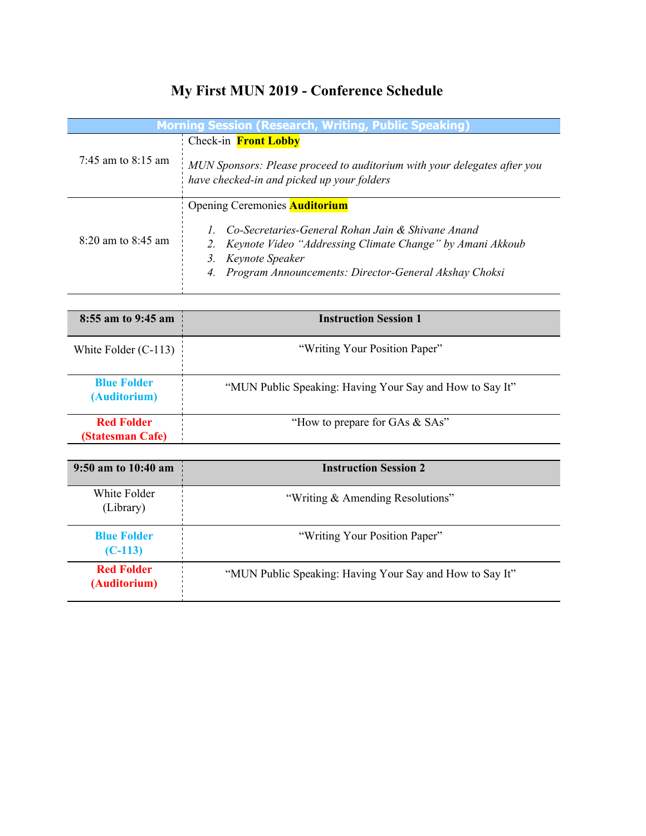## **My First MUN 2019 - Conference Schedule**

| <b>Morning Session (Research, Writing, Public Speaking)</b> |                                                                                                                                                                                                           |  |
|-------------------------------------------------------------|-----------------------------------------------------------------------------------------------------------------------------------------------------------------------------------------------------------|--|
| 7:45 am to 8:15 am                                          | Check-in <b>Front Lobby</b>                                                                                                                                                                               |  |
|                                                             | MUN Sponsors: Please proceed to auditorium with your delegates after you<br>have checked-in and picked up your folders                                                                                    |  |
|                                                             | <b>Opening Ceremonies Auditorium</b>                                                                                                                                                                      |  |
| 8:20 am to 8:45 am                                          | Co-Secretaries-General Rohan Jain & Shivane Anand<br>2. Keynote Video "Addressing Climate Change" by Amani Akkoub<br>Keynote Speaker<br>3.<br>Program Announcements: Director-General Akshay Choksi<br>4. |  |

| 8:55 am to 9:45 am                    | <b>Instruction Session 1</b>                             |
|---------------------------------------|----------------------------------------------------------|
| White Folder $(C-113)$                | "Writing Your Position Paper"                            |
| <b>Blue Folder</b><br>(Auditorium)    | "MUN Public Speaking: Having Your Say and How to Say It" |
| <b>Red Folder</b><br>(Statesman Cafe) | "How to prepare for GAs & SAs"                           |

| 9:50 am to $10:40$ am             | <b>Instruction Session 2</b>                             |
|-----------------------------------|----------------------------------------------------------|
| White Folder<br>(Library)         | "Writing & Amending Resolutions"                         |
| <b>Blue Folder</b><br>$(C-113)$   | "Writing Your Position Paper"                            |
| <b>Red Folder</b><br>(Auditorium) | "MUN Public Speaking: Having Your Say and How to Say It" |